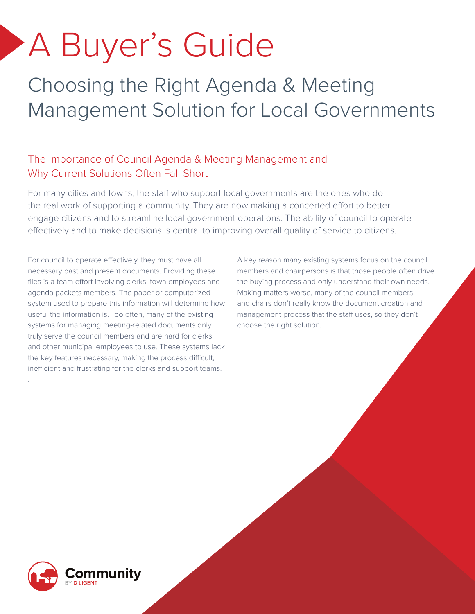# A Buyer's Guide

Choosing the Right Agenda & Meeting Management Solution for Local Governments

### The Importance of Council Agenda & Meeting Management and Why Current Solutions Often Fall Short

For many cities and towns, the staff who support local governments are the ones who do the real work of supporting a community. They are now making a concerted effort to better engage citizens and to streamline local government operations. The ability of council to operate effectively and to make decisions is central to improving overall quality of service to citizens.

For council to operate effectively, they must have all necessary past and present documents. Providing these files is a team effort involving clerks, town employees and agenda packets members. The paper or computerized system used to prepare this information will determine how useful the information is. Too often, many of the existing systems for managing meeting-related documents only truly serve the council members and are hard for clerks and other municipal employees to use. These systems lack the key features necessary, making the process difficult, inefficient and frustrating for the clerks and support teams.

A key reason many existing systems focus on the council members and chairpersons is that those people often drive the buying process and only understand their own needs. Making matters worse, many of the council members and chairs don't really know the document creation and management process that the staff uses, so they don't choose the right solution.



.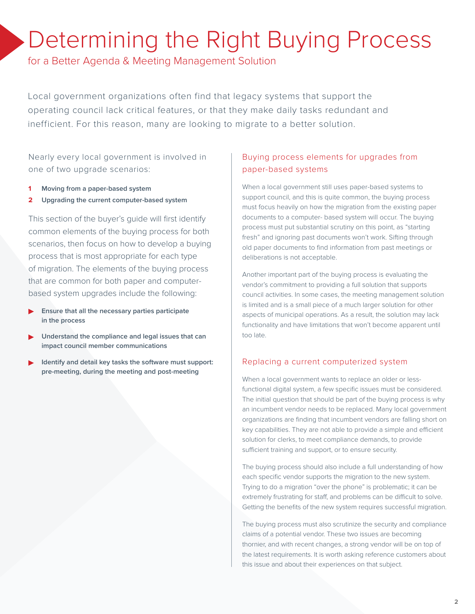### Determining the Right Buying Process

for a Better Agenda & Meeting Management Solution

Local government organizations often find that legacy systems that support the operating council lack critical features, or that they make daily tasks redundant and inefficient. For this reason, many are looking to migrate to a better solution.

Nearly every local government is involved in one of two upgrade scenarios:

- **1 Moving from a paper-based system**
- **2 Upgrading the current computer-based system**

This section of the buyer's guide will first identify common elements of the buying process for both scenarios, then focus on how to develop a buying process that is most appropriate for each type of migration. The elements of the buying process that are common for both paper and computerbased system upgrades include the following:

- **• Ensure that all the necessary parties participate in the process**
- **• Understand the compliance and legal issues that can impact council member communications**
- **• Identify and detail key tasks the software must support: pre-meeting, during the meeting and post-meeting**

#### Buying process elements for upgrades from paper-based systems

When a local government still uses paper-based systems to support council, and this is quite common, the buying process must focus heavily on how the migration from the existing paper documents to a computer- based system will occur. The buying process must put substantial scrutiny on this point, as "starting fresh" and ignoring past documents won't work. Sifting through old paper documents to find information from past meetings or deliberations is not acceptable.

Another important part of the buying process is evaluating the vendor's commitment to providing a full solution that supports council activities. In some cases, the meeting management solution is limited and is a small piece of a much larger solution for other aspects of municipal operations. As a result, the solution may lack functionality and have limitations that won't become apparent until too late.

#### Replacing a current computerized system

When a local government wants to replace an older or lessfunctional digital system, a few specific issues must be considered. The initial question that should be part of the buying process is why an incumbent vendor needs to be replaced. Many local government organizations are finding that incumbent vendors are falling short on key capabilities. They are not able to provide a simple and efficient solution for clerks, to meet compliance demands, to provide sufficient training and support, or to ensure security.

The buying process should also include a full understanding of how each specific vendor supports the migration to the new system. Trying to do a migration "over the phone" is problematic; it can be extremely frustrating for staff, and problems can be difficult to solve. Getting the benefits of the new system requires successful migration.

The buying process must also scrutinize the security and compliance claims of a potential vendor. These two issues are becoming thornier, and with recent changes, a strong vendor will be on top of the latest requirements. It is worth asking reference customers about this issue and about their experiences on that subject.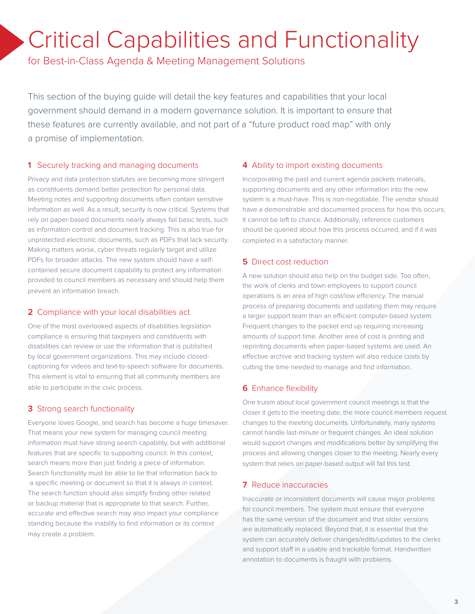### Critical Capabilities and Functionality

for Best-in-Class Agenda & Meeting Management Solutions

This section of the buying guide will detail the key features and capabilities that your local government should demand in a modern governance solution. It is important to ensure that these features are currently available, and not part of a "future product road map" with only a promise of implementation.

#### **1** Securely tracking and managing documents

Privacy and data protection statutes are becoming more stringent as constituents demand better protection for personal data. Meeting notes and supporting documents often contain sensitive information as well. As a result, security is now critical. Systems that rely on paper-based documents nearly always fail basic tests, such as information control and document tracking. This is also true for unprotected electronic documents, such as PDFs that lack security. Making matters worse, cyber threats regularly target and utilize PDFs for broader attacks. The new system should have a selfcontained secure document capability to protect any information provided to council members as necessary and should help them prevent an information breach.

#### **2** Compliance with your local disabilities act

One of the most overlooked aspects of disabilities legislation compliance is ensuring that taxpayers and constituents with disabilities can review or use the information that is published by local government organizations. This may include closedcaptioning for videos and text-to-speech software for documents. This element is vital to ensuring that all community members are able to participate in the civic process.

#### **3** Strong search functionality

Everyone loves Google, and search has become a huge timesaver. That means your new system for managing council meeting information must have strong search capability, but with additional features that are specific to supporting council. In this context, search means more than just finding a piece of information. Search functionality must be able to tie that information back to a specific meeting or document so that it is always in context. The search function should also simplify finding other related or backup material that is appropriate to that search. Further, accurate and effective search may also impact your compliance standing because the inability to find information or its context may create a problem.

#### **4** Ability to import existing documents

Incorporating the past and current agenda packets materials, supporting documents and any other information into the new system is a must-have. This is non-negotiable. The vendor should have a demonstrable and documented process for how this occurs; it cannot be left to chance. Additionally, reference customers should be queried about how this process occurred, and if it was completed in a satisfactory manner.

#### **5** Direct cost reduction

A new solution should also help on the budget side. Too often, the work of clerks and town employees to support council operations is an area of high cost/low efficiency. The manual process of preparing documents and updating them may require a larger support team than an efficient computer-based system. Frequent changes to the packet end up requiring increasing amounts of support time. Another area of cost is printing and reprinting documents when paper-based systems are used. An effective archive and tracking system will also reduce costs by cutting the time needed to manage and find information.

#### **6** Enhance flexibility

One truism about local government council meetings is that the closer it gets to the meeting date, the more council members request changes to the meeting documents. Unfortunately, many systems cannot handle last-minute or frequent changes. An ideal solution would support changes and modifications better by simplifying the process and allowing changes closer to the meeting. Nearly every system that relies on paper-based output will fail this test.

#### **7** Reduce inaccuracies

Inaccurate or inconsistent documents will cause major problems for council members. The system must ensure that everyone has the same version of the document and that older versions are automatically replaced. Beyond that, it is essential that the system can accurately deliver changes/edits/updates to the clerks and support staff in a usable and trackable format. Handwritten annotation to documents is fraught with problems.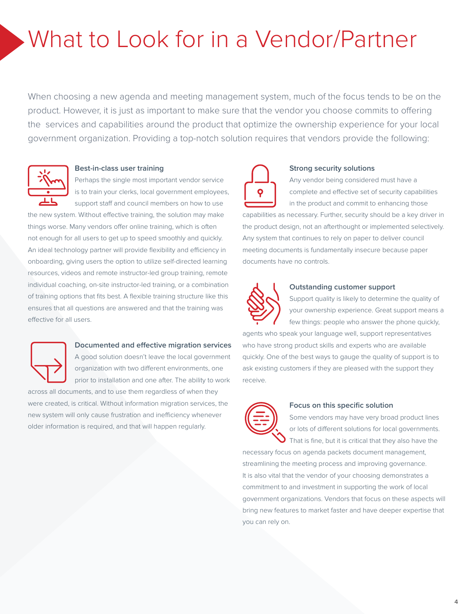## What to Look for in a Vendor/Partner

When choosing a new agenda and meeting management system, much of the focus tends to be on the product. However, it is just as important to make sure that the vendor you choose commits to offering the services and capabilities around the product that optimize the ownership experience for your local government organization. Providing a top-notch solution requires that vendors provide the following:



#### **Best-in-class user training**

Perhaps the single most important vendor service is to train your clerks, local government employees, support staff and council members on how to use

the new system. Without effective training, the solution may make things worse. Many vendors offer online training, which is often not enough for all users to get up to speed smoothly and quickly. An ideal technology partner will provide flexibility and efficiency in onboarding, giving users the option to utilize self-directed learning resources, videos and remote instructor-led group training, remote individual coaching, on-site instructor-led training, or a combination of training options that fits best. A flexible training structure like this ensures that all questions are answered and that the training was effective for all users.



#### **Documented and effective migration services**

A good solution doesn't leave the local government organization with two different environments, one prior to installation and one after. The ability to work

across all documents, and to use them regardless of when they were created, is critical. Without information migration services, the new system will only cause frustration and inefficiency whenever older information is required, and that will happen regularly.



#### **Strong security solutions**

Any vendor being considered must have a complete and effective set of security capabilities in the product and commit to enhancing those

capabilities as necessary. Further, security should be a key driver in the product design, not an afterthought or implemented selectively. Any system that continues to rely on paper to deliver council meeting documents is fundamentally insecure because paper documents have no controls.



#### **Outstanding customer support**

Support quality is likely to determine the quality of your ownership experience. Great support means a few things: people who answer the phone quickly,

agents who speak your language well, support representatives who have strong product skills and experts who are available quickly. One of the best ways to gauge the quality of support is to ask existing customers if they are pleased with the support they receive.



#### **Focus on this specific solution**

Some vendors may have very broad product lines or lots of different solutions for local governments. That is fine, but it is critical that they also have the

necessary focus on agenda packets document management, streamlining the meeting process and improving governance. It is also vital that the vendor of your choosing demonstrates a commitment to and investment in supporting the work of local government organizations. Vendors that focus on these aspects will bring new features to market faster and have deeper expertise that you can rely on.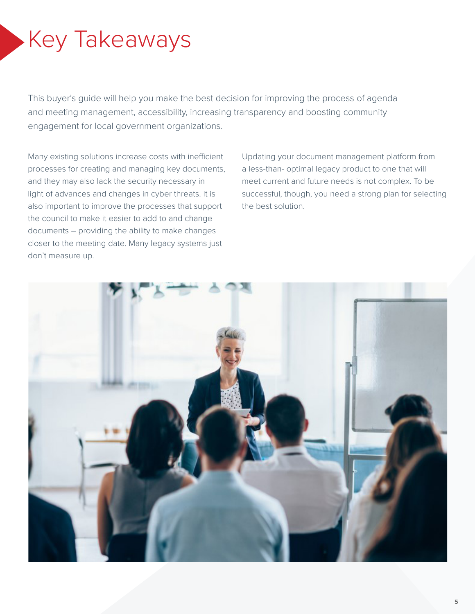## Key Takeaways

This buyer's guide will help you make the best decision for improving the process of agenda and meeting management, accessibility, increasing transparency and boosting community engagement for local government organizations.

Many existing solutions increase costs with inefficient processes for creating and managing key documents, and they may also lack the security necessary in light of advances and changes in cyber threats. It is also important to improve the processes that support the council to make it easier to add to and change documents – providing the ability to make changes closer to the meeting date. Many legacy systems just don't measure up.

Updating your document management platform from a less-than- optimal legacy product to one that will meet current and future needs is not complex. To be successful, though, you need a strong plan for selecting the best solution.